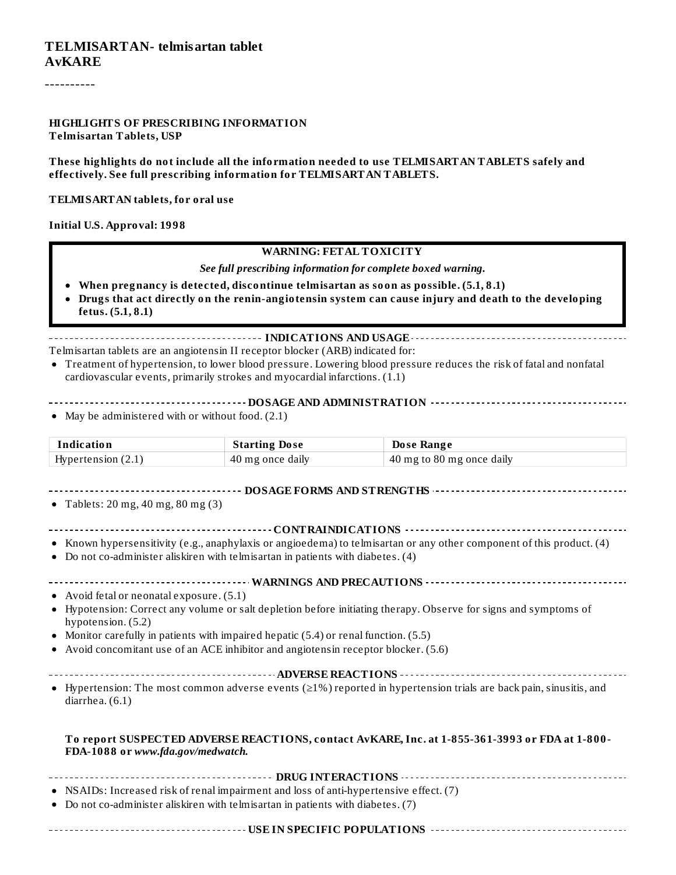#### **TELMISARTAN- telmisartan tablet AvKARE**

----------

#### **HIGHLIGHTS OF PRESCRIBING INFORMATION Telmisartan Tablets, USP**

**These highlights do not include all the information needed to use TELMISARTAN TABLETS safely and effectively. See full prescribing information for TELMISARTAN TABLETS.**

**TELMISARTAN tablets, for oral use**

**Initial U.S. Approval: 1998**

#### **WARNING: FETAL TOXICITY**

*See full prescribing information for complete boxed warning.*

- **When pregnancy is detected, discontinue telmisartan as soon as possible. (5.1, 8.1)**
- **Drugs that act directly on the renin-angiotensin system can cause injury and death to the developing fetus. (5.1, 8.1)**

**INDICATIONS AND USAGE** Telmisartan tablets are an angiotensin II receptor blocker (ARB) indicated for:

Treatment of hypertension, to lower blood pressure. Lowering blood pressure reduces the risk of fatal and nonfatal cardiovascular events, primarily strokes and myocardial infarctions. (1.1)

**DOSAGE AND ADMINISTRATION**

• May be administered with or without food.  $(2.1)$ 

| Indication           | <b>Starting Dose</b> | Dose Range                |
|----------------------|----------------------|---------------------------|
| Hypertension $(2.1)$ | 40 mg once daily     | 40 mg to 80 mg once daily |

**DOSAGE FORMS AND STRENGTHS**

• Tablets:  $20 \text{ mg}$ ,  $40 \text{ mg}$ ,  $80 \text{ mg}$   $(3)$ 

#### **CONTRAINDICATIONS**

- Known hypersensitivity (e.g., anaphylaxis or angioedema) to telmisartan or any other component of this product. (4)
- Do not co-administer aliskiren with telmisartan in patients with diabetes. (4)

#### **WARNINGS AND PRECAUTIONS**

- Avoid fetal or neonatal exposure. (5.1)
- Hypotension: Correct any volume or salt depletion before initiating therapy. Observe for signs and symptoms of hypotension. (5.2)
- Monitor carefully in patients with impaired hepatic (5.4) or renal function. (5.5)
- Avoid concomitant use of an ACE inhibitor and angiotensin receptor blocker. (5.6)

Hypertension: The most common adverse events  $(\geq 1\%)$  reported in hypertension trials are back pain, sinusitis, and diarrhea. (6.1)

#### **To report SUSPECTED ADVERSE REACTIONS, contact AvKARE, Inc. at 1-855-361-3993 or FDA at 1-800- FDA-1088 or** *www.fda.gov/medwatch.*

**DRUG INTERACTIONS**

- NSAIDs: Increased risk of renal impairment and loss of anti-hypertensive effect. (7)
- Do not co-administer aliskiren with telmisartan in patients with diabetes. (7)

**USE IN SPECIFIC POPULATIONS**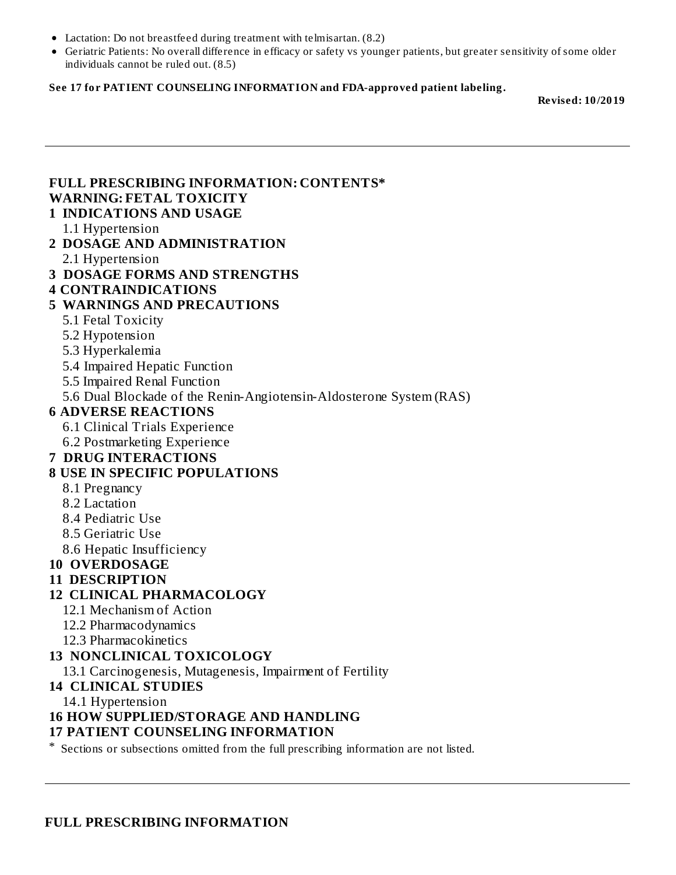- Lactation: Do not breastfeed during treatment with telmisartan. (8.2)
- Geriatric Patients: No overall difference in efficacy or safety vs younger patients, but greater sensitivity of some older individuals cannot be ruled out. (8.5)

#### **See 17 for PATIENT COUNSELING INFORMATION and FDA-approved patient labeling.**

**Revised: 10/2019**

| <b>WARNING: FETAL TOXICITY</b><br><b>1 INDICATIONS AND USAGE</b><br>1.1 Hypertension<br><b>2 DOSAGE AND ADMINISTRATION</b><br>2.1 Hypertension<br><b>3 DOSAGE FORMS AND STRENGTHS</b><br><b>4 CONTRAINDICATIONS</b><br><b>5 WARNINGS AND PRECAUTIONS</b> |
|----------------------------------------------------------------------------------------------------------------------------------------------------------------------------------------------------------------------------------------------------------|
|                                                                                                                                                                                                                                                          |
|                                                                                                                                                                                                                                                          |
|                                                                                                                                                                                                                                                          |
|                                                                                                                                                                                                                                                          |
|                                                                                                                                                                                                                                                          |
|                                                                                                                                                                                                                                                          |
|                                                                                                                                                                                                                                                          |
|                                                                                                                                                                                                                                                          |
| 5.1 Fetal Toxicity                                                                                                                                                                                                                                       |
| 5.2 Hypotension                                                                                                                                                                                                                                          |
| 5.3 Hyperkalemia                                                                                                                                                                                                                                         |
| 5.4 Impaired Hepatic Function                                                                                                                                                                                                                            |
| 5.5 Impaired Renal Function                                                                                                                                                                                                                              |
| 5.6 Dual Blockade of the Renin-Angiotensin-Aldosterone System (RAS)                                                                                                                                                                                      |
| <b>6 ADVERSE REACTIONS</b>                                                                                                                                                                                                                               |
| 6.1 Clinical Trials Experience                                                                                                                                                                                                                           |
| 6.2 Postmarketing Experience                                                                                                                                                                                                                             |
| <b>7 DRUG INTERACTIONS</b>                                                                                                                                                                                                                               |
| <b>8 USE IN SPECIFIC POPULATIONS</b>                                                                                                                                                                                                                     |
| 8.1 Pregnancy                                                                                                                                                                                                                                            |
| 8.2 Lactation                                                                                                                                                                                                                                            |
| 8.4 Pediatric Use                                                                                                                                                                                                                                        |
| 8.5 Geriatric Use                                                                                                                                                                                                                                        |
| 8.6 Hepatic Insufficiency                                                                                                                                                                                                                                |
| <b>10 OVERDOSAGE</b>                                                                                                                                                                                                                                     |
| <b>11 DESCRIPTION</b><br><b>12 CLINICAL PHARMACOLOGY</b>                                                                                                                                                                                                 |
| 12.1 Mechanism of Action                                                                                                                                                                                                                                 |
|                                                                                                                                                                                                                                                          |
| 12.2 Pharmacodynamics<br>12.3 Pharmacokinetics                                                                                                                                                                                                           |
| <b>13 NONCLINICAL TOXICOLOGY</b>                                                                                                                                                                                                                         |
| 13.1 Carcinogenesis, Mutagenesis, Impairment of Fertility                                                                                                                                                                                                |
| <b>14 CLINICAL STUDIES</b>                                                                                                                                                                                                                               |
| 14.1 Hypertension                                                                                                                                                                                                                                        |
| <b>16 HOW SUPPLIED/STORAGE AND HANDLING</b>                                                                                                                                                                                                              |
| <b>17 PATIENT COUNSELING INFORMATION</b>                                                                                                                                                                                                                 |
| * Sections or subsections omitted from the full prescribing information are not listed.                                                                                                                                                                  |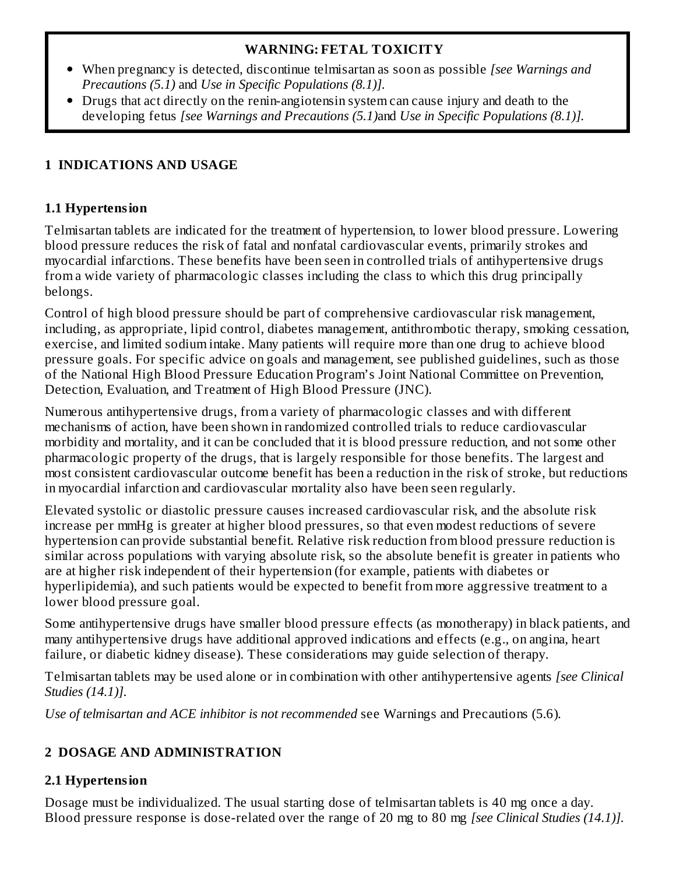#### **WARNING: FETAL TOXICITY**

- When pregnancy is detected, discontinue telmisartan as soon as possible *[see Warnings and Precautions (5.1)* and *Use in Specific Populations (8.1)].*
- Drugs that act directly on the renin-angiotensin system can cause injury and death to the developing fetus *[see Warnings and Precautions (5.1)*and *Use in Specific Populations (8.1)].*

# **1 INDICATIONS AND USAGE**

## **1.1 Hypertension**

Telmisartan tablets are indicated for the treatment of hypertension, to lower blood pressure. Lowering blood pressure reduces the risk of fatal and nonfatal cardiovascular events, primarily strokes and myocardial infarctions. These benefits have been seen in controlled trials of antihypertensive drugs from a wide variety of pharmacologic classes including the class to which this drug principally belongs.

Control of high blood pressure should be part of comprehensive cardiovascular risk management, including, as appropriate, lipid control, diabetes management, antithrombotic therapy, smoking cessation, exercise, and limited sodium intake. Many patients will require more than one drug to achieve blood pressure goals. For specific advice on goals and management, see published guidelines, such as those of the National High Blood Pressure Education Program's Joint National Committee on Prevention, Detection, Evaluation, and Treatment of High Blood Pressure (JNC).

Numerous antihypertensive drugs, from a variety of pharmacologic classes and with different mechanisms of action, have been shown in randomized controlled trials to reduce cardiovascular morbidity and mortality, and it can be concluded that it is blood pressure reduction, and not some other pharmacologic property of the drugs, that is largely responsible for those benefits. The largest and most consistent cardiovascular outcome benefit has been a reduction in the risk of stroke, but reductions in myocardial infarction and cardiovascular mortality also have been seen regularly.

Elevated systolic or diastolic pressure causes increased cardiovascular risk, and the absolute risk increase per mmHg is greater at higher blood pressures, so that even modest reductions of severe hypertension can provide substantial benefit. Relative risk reduction from blood pressure reduction is similar across populations with varying absolute risk, so the absolute benefit is greater in patients who are at higher risk independent of their hypertension (for example, patients with diabetes or hyperlipidemia), and such patients would be expected to benefit from more aggressive treatment to a lower blood pressure goal.

Some antihypertensive drugs have smaller blood pressure effects (as monotherapy) in black patients, and many antihypertensive drugs have additional approved indications and effects (e.g., on angina, heart failure, or diabetic kidney disease). These considerations may guide selection of therapy.

Telmisartan tablets may be used alone or in combination with other antihypertensive agents *[see Clinical Studies (14.1)].*

*Use of telmisartan and ACE inhibitor is not recommended* see Warnings and Precautions (5.6)*.*

# **2 DOSAGE AND ADMINISTRATION**

## **2.1 Hypertension**

Dosage must be individualized. The usual starting dose of telmisartan tablets is 40 mg once a day. Blood pressure response is dose-related over the range of 20 mg to 80 mg *[see Clinical Studies (14.1)].*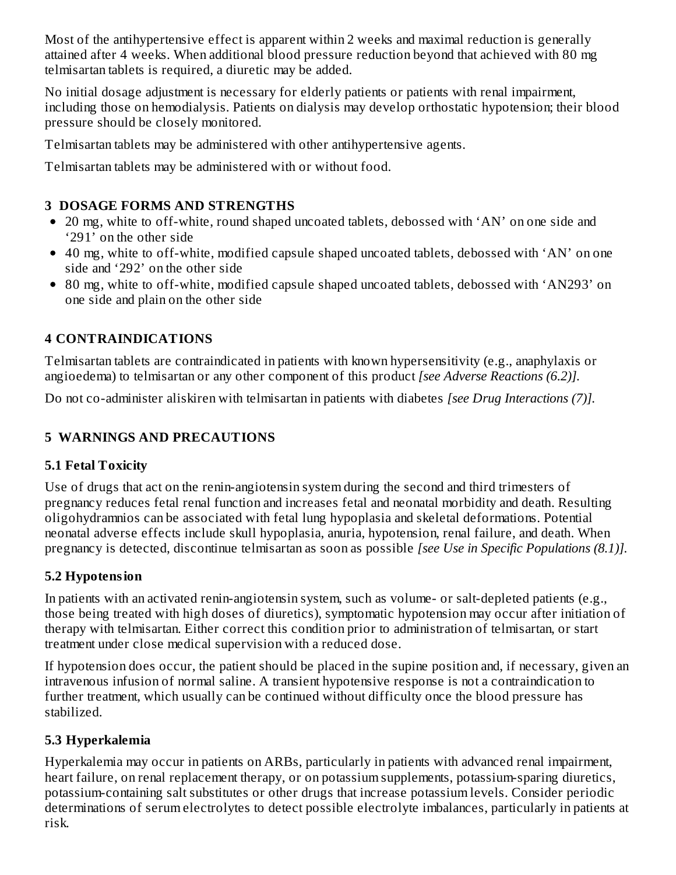Most of the antihypertensive effect is apparent within 2 weeks and maximal reduction is generally attained after 4 weeks. When additional blood pressure reduction beyond that achieved with 80 mg telmisartan tablets is required, a diuretic may be added.

No initial dosage adjustment is necessary for elderly patients or patients with renal impairment, including those on hemodialysis. Patients on dialysis may develop orthostatic hypotension; their blood pressure should be closely monitored.

Telmisartan tablets may be administered with other antihypertensive agents.

Telmisartan tablets may be administered with or without food.

## **3 DOSAGE FORMS AND STRENGTHS**

- 20 mg, white to off-white, round shaped uncoated tablets, debossed with 'AN' on one side and '291' on the other side
- 40 mg, white to off-white, modified capsule shaped uncoated tablets, debossed with 'AN' on one side and '292' on the other side
- 80 mg, white to off-white, modified capsule shaped uncoated tablets, debossed with 'AN293' on one side and plain on the other side

## **4 CONTRAINDICATIONS**

Telmisartan tablets are contraindicated in patients with known hypersensitivity (e.g., anaphylaxis or angioedema) to telmisartan or any other component of this product *[see Adverse Reactions (6.2)].*

Do not co-administer aliskiren with telmisartan in patients with diabetes *[see Drug Interactions (7)].*

# **5 WARNINGS AND PRECAUTIONS**

## **5.1 Fetal Toxicity**

Use of drugs that act on the renin-angiotensin system during the second and third trimesters of pregnancy reduces fetal renal function and increases fetal and neonatal morbidity and death. Resulting oligohydramnios can be associated with fetal lung hypoplasia and skeletal deformations. Potential neonatal adverse effects include skull hypoplasia, anuria, hypotension, renal failure, and death. When pregnancy is detected, discontinue telmisartan as soon as possible *[see Use in Specific Populations (8.1)].*

# **5.2 Hypotension**

In patients with an activated renin-angiotensin system, such as volume- or salt-depleted patients (e.g., those being treated with high doses of diuretics), symptomatic hypotension may occur after initiation of therapy with telmisartan. Either correct this condition prior to administration of telmisartan, or start treatment under close medical supervision with a reduced dose.

If hypotension does occur, the patient should be placed in the supine position and, if necessary, given an intravenous infusion of normal saline. A transient hypotensive response is not a contraindication to further treatment, which usually can be continued without difficulty once the blood pressure has stabilized.

## **5.3 Hyperkalemia**

Hyperkalemia may occur in patients on ARBs, particularly in patients with advanced renal impairment, heart failure, on renal replacement therapy, or on potassium supplements, potassium-sparing diuretics, potassium-containing salt substitutes or other drugs that increase potassium levels. Consider periodic determinations of serum electrolytes to detect possible electrolyte imbalances, particularly in patients at risk.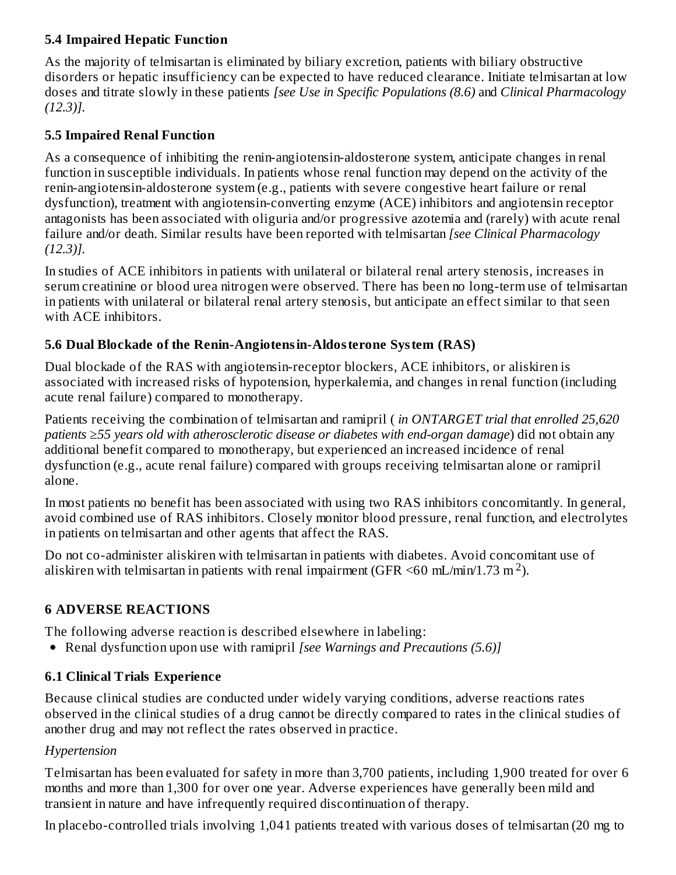#### **5.4 Impaired Hepatic Function**

As the majority of telmisartan is eliminated by biliary excretion, patients with biliary obstructive disorders or hepatic insufficiency can be expected to have reduced clearance. Initiate telmisartan at low doses and titrate slowly in these patients *[see Use in Specific Populations (8.6)* and *Clinical Pharmacology (12.3)].*

#### **5.5 Impaired Renal Function**

As a consequence of inhibiting the renin-angiotensin-aldosterone system, anticipate changes in renal function in susceptible individuals. In patients whose renal function may depend on the activity of the renin-angiotensin-aldosterone system (e.g., patients with severe congestive heart failure or renal dysfunction), treatment with angiotensin-converting enzyme (ACE) inhibitors and angiotensin receptor antagonists has been associated with oliguria and/or progressive azotemia and (rarely) with acute renal failure and/or death. Similar results have been reported with telmisartan *[see Clinical Pharmacology (12.3)].*

In studies of ACE inhibitors in patients with unilateral or bilateral renal artery stenosis, increases in serum creatinine or blood urea nitrogen were observed. There has been no long-term use of telmisartan in patients with unilateral or bilateral renal artery stenosis, but anticipate an effect similar to that seen with ACE inhibitors.

#### **5.6 Dual Blockade of the Renin-Angiotensin-Aldosterone System (RAS)**

Dual blockade of the RAS with angiotensin-receptor blockers, ACE inhibitors, or aliskiren is associated with increased risks of hypotension, hyperkalemia, and changes in renal function (including acute renal failure) compared to monotherapy.

Patients receiving the combination of telmisartan and ramipril ( *in ONTARGET trial that enrolled 25,620 patients ≥55 years old with atherosclerotic disease or diabetes with end-organ damage*) did not obtain any additional benefit compared to monotherapy, but experienced an increased incidence of renal dysfunction (e.g., acute renal failure) compared with groups receiving telmisartan alone or ramipril alone.

In most patients no benefit has been associated with using two RAS inhibitors concomitantly. In general, avoid combined use of RAS inhibitors. Closely monitor blood pressure, renal function, and electrolytes in patients on telmisartan and other agents that affect the RAS.

Do not co-administer aliskiren with telmisartan in patients with diabetes. Avoid concomitant use of aliskiren with telmisartan in patients with renal impairment (GFR  $\leq 60$  mL/min/1.73 m<sup>2</sup>).

## **6 ADVERSE REACTIONS**

The following adverse reaction is described elsewhere in labeling:

Renal dysfunction upon use with ramipril *[see Warnings and Precautions (5.6)]*

## **6.1 Clinical Trials Experience**

Because clinical studies are conducted under widely varying conditions, adverse reactions rates observed in the clinical studies of a drug cannot be directly compared to rates in the clinical studies of another drug and may not reflect the rates observed in practice.

#### *Hypertension*

Telmisartan has been evaluated for safety in more than 3,700 patients, including 1,900 treated for over 6 months and more than 1,300 for over one year. Adverse experiences have generally been mild and transient in nature and have infrequently required discontinuation of therapy.

In placebo-controlled trials involving 1,041 patients treated with various doses of telmisartan (20 mg to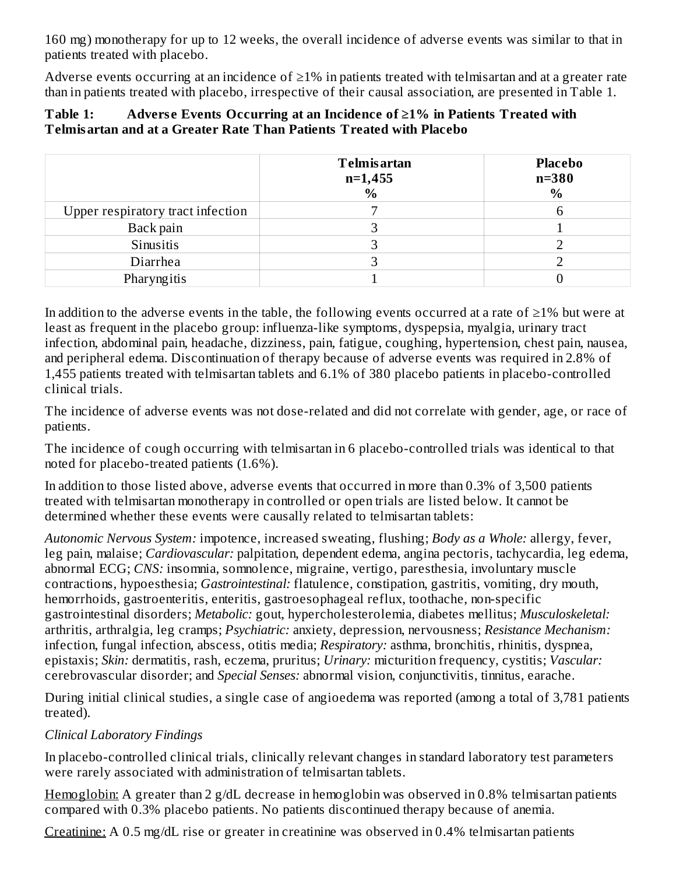160 mg) monotherapy for up to 12 weeks, the overall incidence of adverse events was similar to that in patients treated with placebo.

Adverse events occurring at an incidence of  $\geq$ 1% in patients treated with telmisartan and at a greater rate than in patients treated with placebo, irrespective of their causal association, are presented in Table 1.

| Table 1: | Adverse Events Occurring at an Incidence of $\geq 1\%$ in Patients Treated with |
|----------|---------------------------------------------------------------------------------|
|          | Telmisartan and at a Greater Rate Than Patients Treated with Placebo            |

|                                   | <b>Telmis</b> artan<br>$n=1,455$<br>$\frac{0}{0}$ | <b>Placebo</b><br>$n = 380$<br>$\frac{0}{0}$ |
|-----------------------------------|---------------------------------------------------|----------------------------------------------|
| Upper respiratory tract infection |                                                   |                                              |
| Back pain                         |                                                   |                                              |
| <b>Sinusitis</b>                  |                                                   |                                              |
| Diarrhea                          |                                                   |                                              |
| Pharyngitis                       |                                                   |                                              |

In addition to the adverse events in the table, the following events occurred at a rate of ≥1% but were at least as frequent in the placebo group: influenza-like symptoms, dyspepsia, myalgia, urinary tract infection, abdominal pain, headache, dizziness, pain, fatigue, coughing, hypertension, chest pain, nausea, and peripheral edema. Discontinuation of therapy because of adverse events was required in 2.8% of 1,455 patients treated with telmisartan tablets and 6.1% of 380 placebo patients in placebo-controlled clinical trials.

The incidence of adverse events was not dose-related and did not correlate with gender, age, or race of patients.

The incidence of cough occurring with telmisartan in 6 placebo-controlled trials was identical to that noted for placebo-treated patients (1.6%).

In addition to those listed above, adverse events that occurred in more than 0.3% of 3,500 patients treated with telmisartan monotherapy in controlled or open trials are listed below. It cannot be determined whether these events were causally related to telmisartan tablets:

*Autonomic Nervous System:* impotence, increased sweating, flushing; *Body as a Whole:* allergy, fever, leg pain, malaise; *Cardiovascular:* palpitation, dependent edema, angina pectoris, tachycardia, leg edema, abnormal ECG; *CNS:* insomnia, somnolence, migraine, vertigo, paresthesia, involuntary muscle contractions, hypoesthesia; *Gastrointestinal:* flatulence, constipation, gastritis, vomiting, dry mouth, hemorrhoids, gastroenteritis, enteritis, gastroesophageal reflux, toothache, non-specific gastrointestinal disorders; *Metabolic:* gout, hypercholesterolemia, diabetes mellitus; *Musculoskeletal:* arthritis, arthralgia, leg cramps; *Psychiatric:* anxiety, depression, nervousness; *Resistance Mechanism:* infection, fungal infection, abscess, otitis media; *Respiratory:* asthma, bronchitis, rhinitis, dyspnea, epistaxis; *Skin:* dermatitis, rash, eczema, pruritus; *Urinary:* micturition frequency, cystitis; *Vascular:* cerebrovascular disorder; and *Special Senses:* abnormal vision, conjunctivitis, tinnitus, earache.

During initial clinical studies, a single case of angioedema was reported (among a total of 3,781 patients treated).

## *Clinical Laboratory Findings*

In placebo-controlled clinical trials, clinically relevant changes in standard laboratory test parameters were rarely associated with administration of telmisartan tablets.

Hemoglobin: A greater than 2 g/dL decrease in hemoglobin was observed in 0.8% telmisartan patients compared with 0.3% placebo patients. No patients discontinued therapy because of anemia.

Creatinine: A 0.5 mg/dL rise or greater in creatinine was observed in 0.4% telmisartan patients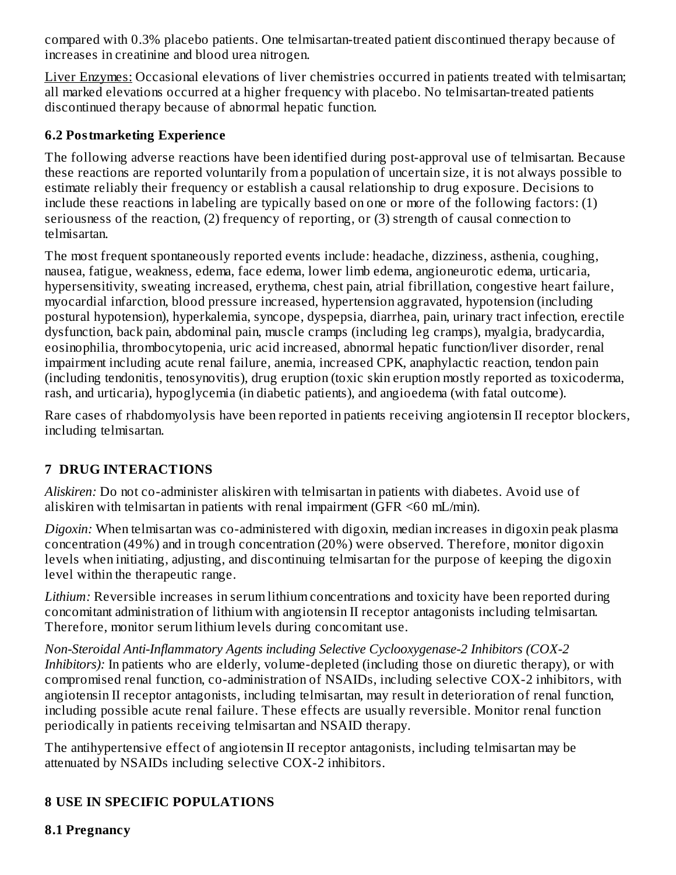compared with 0.3% placebo patients. One telmisartan-treated patient discontinued therapy because of increases in creatinine and blood urea nitrogen.

Liver Enzymes: Occasional elevations of liver chemistries occurred in patients treated with telmisartan; all marked elevations occurred at a higher frequency with placebo. No telmisartan-treated patients discontinued therapy because of abnormal hepatic function.

#### **6.2 Postmarketing Experience**

The following adverse reactions have been identified during post-approval use of telmisartan. Because these reactions are reported voluntarily from a population of uncertain size, it is not always possible to estimate reliably their frequency or establish a causal relationship to drug exposure. Decisions to include these reactions in labeling are typically based on one or more of the following factors: (1) seriousness of the reaction, (2) frequency of reporting, or (3) strength of causal connection to telmisartan.

The most frequent spontaneously reported events include: headache, dizziness, asthenia, coughing, nausea, fatigue, weakness, edema, face edema, lower limb edema, angioneurotic edema, urticaria, hypersensitivity, sweating increased, erythema, chest pain, atrial fibrillation, congestive heart failure, myocardial infarction, blood pressure increased, hypertension aggravated, hypotension (including postural hypotension), hyperkalemia, syncope, dyspepsia, diarrhea, pain, urinary tract infection, erectile dysfunction, back pain, abdominal pain, muscle cramps (including leg cramps), myalgia, bradycardia, eosinophilia, thrombocytopenia, uric acid increased, abnormal hepatic function/liver disorder, renal impairment including acute renal failure, anemia, increased CPK, anaphylactic reaction, tendon pain (including tendonitis, tenosynovitis), drug eruption (toxic skin eruption mostly reported as toxicoderma, rash, and urticaria), hypoglycemia (in diabetic patients), and angioedema (with fatal outcome).

Rare cases of rhabdomyolysis have been reported in patients receiving angiotensin II receptor blockers, including telmisartan.

## **7 DRUG INTERACTIONS**

*Aliskiren:* Do not co-administer aliskiren with telmisartan in patients with diabetes. Avoid use of aliskiren with telmisartan in patients with renal impairment (GFR <60 mL/min).

*Digoxin:* When telmisartan was co-administered with digoxin, median increases in digoxin peak plasma concentration (49%) and in trough concentration (20%) were observed. Therefore, monitor digoxin levels when initiating, adjusting, and discontinuing telmisartan for the purpose of keeping the digoxin level within the therapeutic range.

*Lithium:* Reversible increases in serum lithium concentrations and toxicity have been reported during concomitant administration of lithium with angiotensin II receptor antagonists including telmisartan. Therefore, monitor serum lithium levels during concomitant use.

*Non-Steroidal Anti-Inflammatory Agents including Selective Cyclooxygenase-2 Inhibitors (COX-2 Inhibitors*): In patients who are elderly, volume-depleted (including those on diuretic therapy), or with compromised renal function, co-administration of NSAIDs, including selective COX-2 inhibitors, with angiotensin II receptor antagonists, including telmisartan, may result in deterioration of renal function, including possible acute renal failure. These effects are usually reversible. Monitor renal function periodically in patients receiving telmisartan and NSAID therapy.

The antihypertensive effect of angiotensin II receptor antagonists, including telmisartan may be attenuated by NSAIDs including selective COX-2 inhibitors.

## **8 USE IN SPECIFIC POPULATIONS**

#### **8.1 Pregnancy**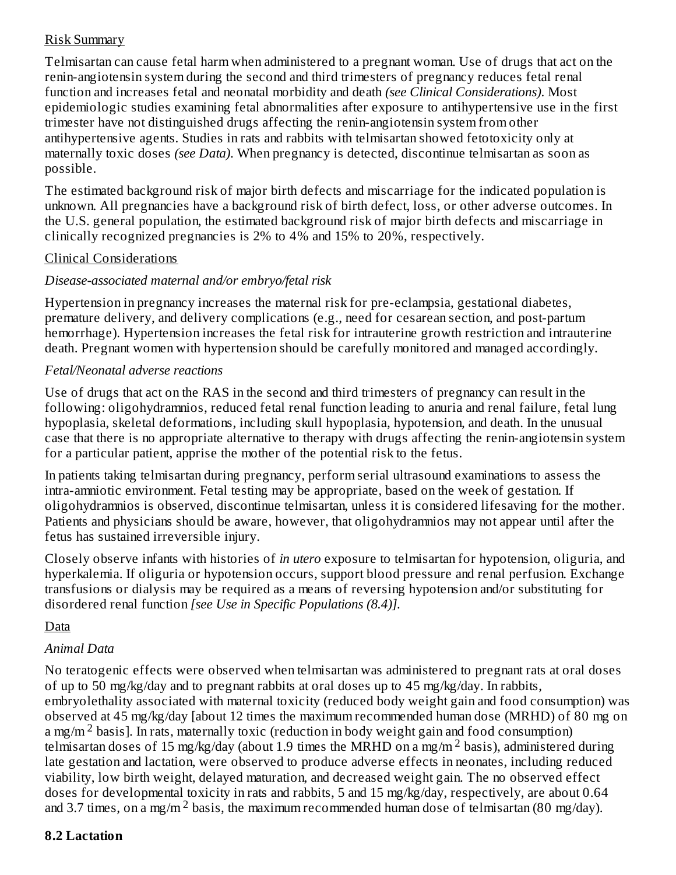#### Risk Summary

Telmisartan can cause fetal harm when administered to a pregnant woman. Use of drugs that act on the renin-angiotensin system during the second and third trimesters of pregnancy reduces fetal renal function and increases fetal and neonatal morbidity and death *(see Clinical Considerations)*. Most epidemiologic studies examining fetal abnormalities after exposure to antihypertensive use in the first trimester have not distinguished drugs affecting the renin-angiotensin system from other antihypertensive agents. Studies in rats and rabbits with telmisartan showed fetotoxicity only at maternally toxic doses *(see Data)*. When pregnancy is detected, discontinue telmisartan as soon as possible.

The estimated background risk of major birth defects and miscarriage for the indicated population is unknown. All pregnancies have a background risk of birth defect, loss, or other adverse outcomes. In the U.S. general population, the estimated background risk of major birth defects and miscarriage in clinically recognized pregnancies is 2% to 4% and 15% to 20%, respectively.

#### Clinical Considerations

#### *Disease-associated maternal and/or embryo/fetal risk*

Hypertension in pregnancy increases the maternal risk for pre-eclampsia, gestational diabetes, premature delivery, and delivery complications (e.g., need for cesarean section, and post-partum hemorrhage). Hypertension increases the fetal risk for intrauterine growth restriction and intrauterine death. Pregnant women with hypertension should be carefully monitored and managed accordingly.

#### *Fetal/Neonatal adverse reactions*

Use of drugs that act on the RAS in the second and third trimesters of pregnancy can result in the following: oligohydramnios, reduced fetal renal function leading to anuria and renal failure, fetal lung hypoplasia, skeletal deformations, including skull hypoplasia, hypotension, and death. In the unusual case that there is no appropriate alternative to therapy with drugs affecting the renin-angiotensin system for a particular patient, apprise the mother of the potential risk to the fetus.

In patients taking telmisartan during pregnancy, perform serial ultrasound examinations to assess the intra-amniotic environment. Fetal testing may be appropriate, based on the week of gestation. If oligohydramnios is observed, discontinue telmisartan, unless it is considered lifesaving for the mother. Patients and physicians should be aware, however, that oligohydramnios may not appear until after the fetus has sustained irreversible injury.

Closely observe infants with histories of *in utero* exposure to telmisartan for hypotension, oliguria, and hyperkalemia. If oliguria or hypotension occurs, support blood pressure and renal perfusion. Exchange transfusions or dialysis may be required as a means of reversing hypotension and/or substituting for disordered renal function *[see Use in Specific Populations (8.4)].*

Data

#### *Animal Data*

No teratogenic effects were observed when telmisartan was administered to pregnant rats at oral doses of up to 50 mg/kg/day and to pregnant rabbits at oral doses up to 45 mg/kg/day. In rabbits, embryolethality associated with maternal toxicity (reduced body weight gain and food consumption) was observed at 45 mg/kg/day [about 12 times the maximum recommended human dose (MRHD) of 80 mg on a mg/m<sup>2</sup> basis]. In rats, maternally toxic (reduction in body weight gain and food consumption) telmisartan doses of 15 mg/kg/day (about 1.9 times the MRHD on a mg/m<sup>2</sup> basis), administered during late gestation and lactation, were observed to produce adverse effects in neonates, including reduced viability, low birth weight, delayed maturation, and decreased weight gain. The no observed effect doses for developmental toxicity in rats and rabbits, 5 and 15 mg/kg/day, respectively, are about 0.64 and 3.7 times, on a mg/m<sup>2</sup> basis, the maximum recommended human dose of telmisartan (80 mg/day).

#### **8.2 Lactation**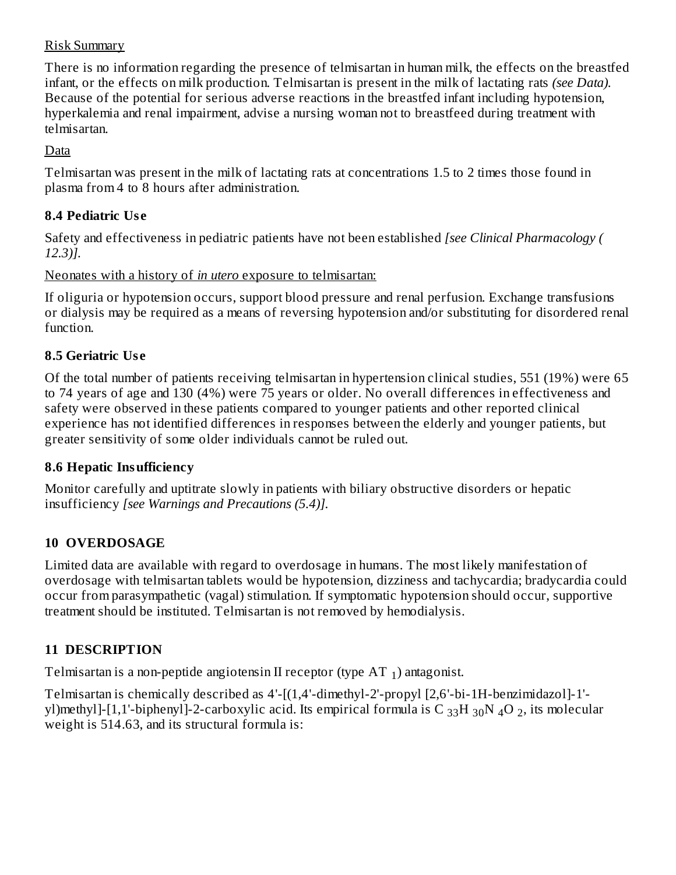#### Risk Summary

There is no information regarding the presence of telmisartan in human milk, the effects on the breastfed infant, or the effects on milk production. Telmisartan is present in the milk of lactating rats *(see Data).* Because of the potential for serious adverse reactions in the breastfed infant including hypotension, hyperkalemia and renal impairment, advise a nursing woman not to breastfeed during treatment with telmisartan.

Data

Telmisartan was present in the milk of lactating rats at concentrations 1.5 to 2 times those found in plasma from 4 to 8 hours after administration.

## **8.4 Pediatric Us e**

Safety and effectiveness in pediatric patients have not been established *[see Clinical Pharmacology ( 12.3)].*

Neonates with a history of *in utero* exposure to telmisartan:

If oliguria or hypotension occurs, support blood pressure and renal perfusion. Exchange transfusions or dialysis may be required as a means of reversing hypotension and/or substituting for disordered renal function.

## **8.5 Geriatric Us e**

Of the total number of patients receiving telmisartan in hypertension clinical studies, 551 (19%) were 65 to 74 years of age and 130 (4%) were 75 years or older. No overall differences in effectiveness and safety were observed in these patients compared to younger patients and other reported clinical experience has not identified differences in responses between the elderly and younger patients, but greater sensitivity of some older individuals cannot be ruled out.

## **8.6 Hepatic Insufficiency**

Monitor carefully and uptitrate slowly in patients with biliary obstructive disorders or hepatic insufficiency *[see Warnings and Precautions (5.4)].*

## **10 OVERDOSAGE**

Limited data are available with regard to overdosage in humans. The most likely manifestation of overdosage with telmisartan tablets would be hypotension, dizziness and tachycardia; bradycardia could occur from parasympathetic (vagal) stimulation. If symptomatic hypotension should occur, supportive treatment should be instituted. Telmisartan is not removed by hemodialysis.

# **11 DESCRIPTION**

Telmisartan is a non-peptide angiotensin II receptor (type  ${\rm AT}_{1}$ ) antagonist.

Telmisartan is chemically described as 4'-[(1,4'-dimethyl-2'-propyl [2,6'-bi-1H-benzimidazol]-1' yl)methyl]-[1,1'-biphenyl]-2-carboxylic acid. Its empirical formula is C  $_{33}{\rm H}$   $_{30}{\rm N}$   $_4{\rm O}$   $_2$ , its molecular weight is 514.63, and its structural formula is: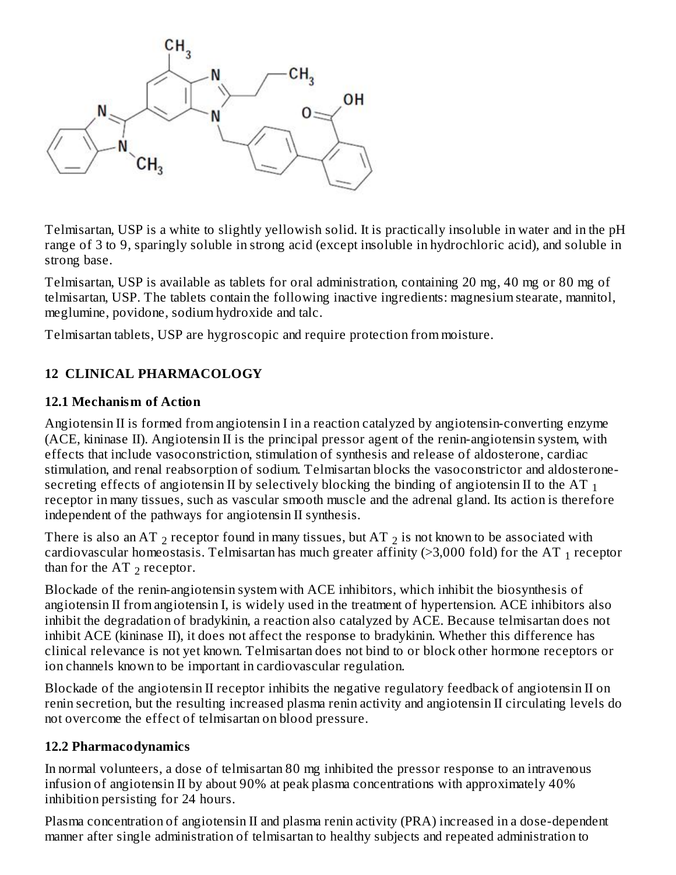

Telmisartan, USP is a white to slightly yellowish solid. It is practically insoluble in water and in the pH range of 3 to 9, sparingly soluble in strong acid (except insoluble in hydrochloric acid), and soluble in strong base.

Telmisartan, USP is available as tablets for oral administration, containing 20 mg, 40 mg or 80 mg of telmisartan, USP. The tablets contain the following inactive ingredients: magnesium stearate, mannitol, meglumine, povidone, sodium hydroxide and talc.

Telmisartan tablets, USP are hygroscopic and require protection from moisture.

# **12 CLINICAL PHARMACOLOGY**

#### **12.1 Mechanism of Action**

Angiotensin II is formed from angiotensin I in a reaction catalyzed by angiotensin-converting enzyme (ACE, kininase II). Angiotensin II is the principal pressor agent of the renin-angiotensin system, with effects that include vasoconstriction, stimulation of synthesis and release of aldosterone, cardiac stimulation, and renal reabsorption of sodium. Telmisartan blocks the vasoconstrictor and aldosteronesecreting effects of angiotensin II by selectively blocking the binding of angiotensin II to the AT  $_{\rm 1}$ receptor in many tissues, such as vascular smooth muscle and the adrenal gland. Its action is therefore independent of the pathways for angiotensin II synthesis.

There is also an AT  $_2$  receptor found in many tissues, but AT  $_2$  is not known to be associated with cardiovascular homeostasis. Telmisartan has much greater affinity (>3,000 fold) for the AT  $_{\rm 1}$  receptor than for the AT  $_2$  receptor.

Blockade of the renin-angiotensin system with ACE inhibitors, which inhibit the biosynthesis of angiotensin II from angiotensin I, is widely used in the treatment of hypertension. ACE inhibitors also inhibit the degradation of bradykinin, a reaction also catalyzed by ACE. Because telmisartan does not inhibit ACE (kininase II), it does not affect the response to bradykinin. Whether this difference has clinical relevance is not yet known. Telmisartan does not bind to or block other hormone receptors or ion channels known to be important in cardiovascular regulation.

Blockade of the angiotensin II receptor inhibits the negative regulatory feedback of angiotensin II on renin secretion, but the resulting increased plasma renin activity and angiotensin II circulating levels do not overcome the effect of telmisartan on blood pressure.

#### **12.2 Pharmacodynamics**

In normal volunteers, a dose of telmisartan 80 mg inhibited the pressor response to an intravenous infusion of angiotensin II by about 90% at peak plasma concentrations with approximately 40% inhibition persisting for 24 hours.

Plasma concentration of angiotensin II and plasma renin activity (PRA) increased in a dose-dependent manner after single administration of telmisartan to healthy subjects and repeated administration to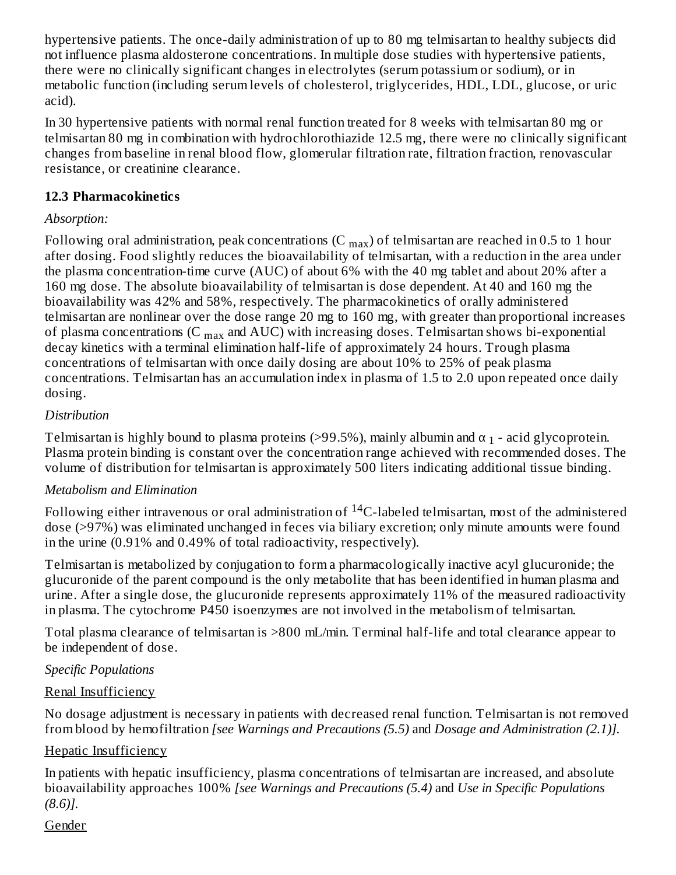hypertensive patients. The once-daily administration of up to 80 mg telmisartan to healthy subjects did not influence plasma aldosterone concentrations. In multiple dose studies with hypertensive patients, there were no clinically significant changes in electrolytes (serum potassium or sodium), or in metabolic function (including serum levels of cholesterol, triglycerides, HDL, LDL, glucose, or uric acid).

In 30 hypertensive patients with normal renal function treated for 8 weeks with telmisartan 80 mg or telmisartan 80 mg in combination with hydrochlorothiazide 12.5 mg, there were no clinically significant changes from baseline in renal blood flow, glomerular filtration rate, filtration fraction, renovascular resistance, or creatinine clearance.

#### **12.3 Pharmacokinetics**

## *Absorption:*

Following oral administration, peak concentrations (C  $_{\rm max}$ ) of telmisartan are reached in 0.5 to 1 hour after dosing. Food slightly reduces the bioavailability of telmisartan, with a reduction in the area under the plasma concentration-time curve (AUC) of about 6% with the 40 mg tablet and about 20% after a 160 mg dose. The absolute bioavailability of telmisartan is dose dependent. At 40 and 160 mg the bioavailability was 42% and 58%, respectively. The pharmacokinetics of orally administered telmisartan are nonlinear over the dose range 20 mg to 160 mg, with greater than proportional increases of plasma concentrations (C  $_{\rm max}$  and AUC) with increasing doses. Telmisartan shows bi-exponential decay kinetics with a terminal elimination half-life of approximately 24 hours. Trough plasma concentrations of telmisartan with once daily dosing are about 10% to 25% of peak plasma concentrations. Telmisartan has an accumulation index in plasma of 1.5 to 2.0 upon repeated once daily dosing.

## *Distribution*

Telmisartan is highly bound to plasma proteins (>99.5%), mainly albumin and  $\alpha_1$  - acid glycoprotein. Plasma protein binding is constant over the concentration range achieved with recommended doses. The volume of distribution for telmisartan is approximately 500 liters indicating additional tissue binding.

# *Metabolism and Elimination*

Following either intravenous or oral administration of  $\rm ^{14}C$ -labeled telmisartan, most of the administered dose (>97%) was eliminated unchanged in feces via biliary excretion; only minute amounts were found in the urine (0.91% and 0.49% of total radioactivity, respectively).

Telmisartan is metabolized by conjugation to form a pharmacologically inactive acyl glucuronide; the glucuronide of the parent compound is the only metabolite that has been identified in human plasma and urine. After a single dose, the glucuronide represents approximately 11% of the measured radioactivity in plasma. The cytochrome P450 isoenzymes are not involved in the metabolism of telmisartan.

Total plasma clearance of telmisartan is >800 mL/min. Terminal half-life and total clearance appear to be independent of dose.

## *Specific Populations*

## Renal Insufficiency

No dosage adjustment is necessary in patients with decreased renal function. Telmisartan is not removed from blood by hemofiltration *[see Warnings and Precautions (5.5)* and *Dosage and Administration (2.1)].*

## Hepatic Insufficiency

In patients with hepatic insufficiency, plasma concentrations of telmisartan are increased, and absolute bioavailability approaches 100% *[see Warnings and Precautions (5.4)* and *Use in Specific Populations (8.6)].*

## Gender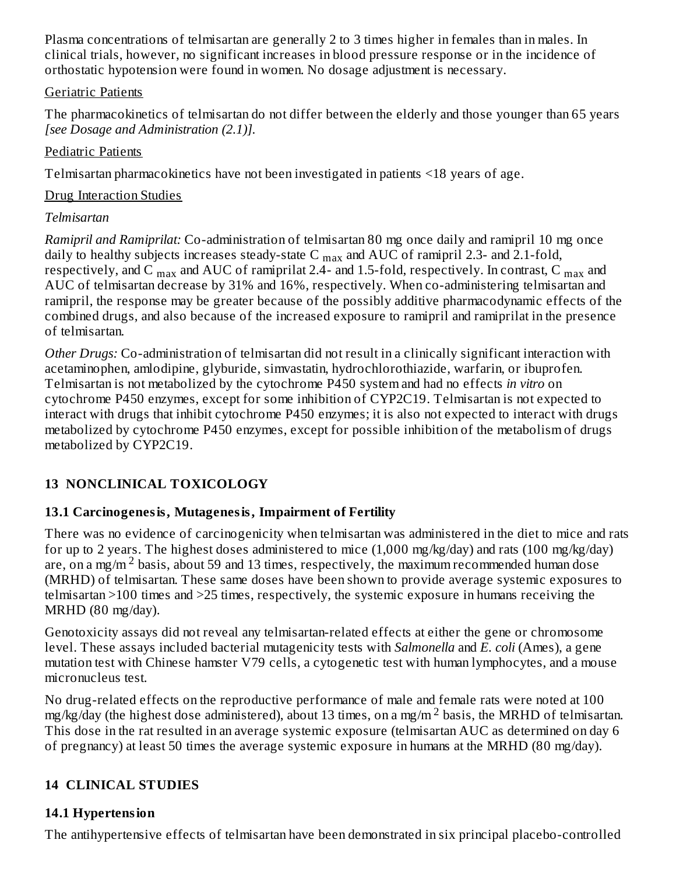Plasma concentrations of telmisartan are generally 2 to 3 times higher in females than in males. In clinical trials, however, no significant increases in blood pressure response or in the incidence of orthostatic hypotension were found in women. No dosage adjustment is necessary.

#### Geriatric Patients

The pharmacokinetics of telmisartan do not differ between the elderly and those younger than 65 years *[see Dosage and Administration (2.1)].*

#### Pediatric Patients

Telmisartan pharmacokinetics have not been investigated in patients <18 years of age.

#### Drug Interaction Studies

## *Telmisartan*

*Ramipril and Ramiprilat:* Co-administration of telmisartan 80 mg once daily and ramipril 10 mg once daily to healthy subjects increases steady-state C  $_{\rm max}$  and AUC of ramipril 2.3- and 2.1-fold, respectively, and C  $_{\rm max}$  and AUC of ramiprilat 2.4- and 1.5-fold, respectively. In contrast, C  $_{\rm max}$  and AUC of telmisartan decrease by 31% and 16%, respectively. When co-administering telmisartan and ramipril, the response may be greater because of the possibly additive pharmacodynamic effects of the combined drugs, and also because of the increased exposure to ramipril and ramiprilat in the presence of telmisartan.

*Other Drugs:* Co-administration of telmisartan did not result in a clinically significant interaction with acetaminophen, amlodipine, glyburide, simvastatin, hydrochlorothiazide, warfarin, or ibuprofen. Telmisartan is not metabolized by the cytochrome P450 system and had no effects *in vitro* on cytochrome P450 enzymes, except for some inhibition of CYP2C19. Telmisartan is not expected to interact with drugs that inhibit cytochrome P450 enzymes; it is also not expected to interact with drugs metabolized by cytochrome P450 enzymes, except for possible inhibition of the metabolism of drugs metabolized by CYP2C19.

# **13 NONCLINICAL TOXICOLOGY**

# **13.1 Carcinogenesis, Mutagenesis, Impairment of Fertility**

There was no evidence of carcinogenicity when telmisartan was administered in the diet to mice and rats for up to 2 years. The highest doses administered to mice (1,000 mg/kg/day) and rats (100 mg/kg/day) are, on a mg/m<sup>2</sup> basis, about 59 and 13 times, respectively, the maximum recommended human dose (MRHD) of telmisartan. These same doses have been shown to provide average systemic exposures to telmisartan >100 times and >25 times, respectively, the systemic exposure in humans receiving the MRHD (80 mg/day).

Genotoxicity assays did not reveal any telmisartan-related effects at either the gene or chromosome level. These assays included bacterial mutagenicity tests with *Salmonella* and *E. coli* (Ames), a gene mutation test with Chinese hamster V79 cells, a cytogenetic test with human lymphocytes, and a mouse micronucleus test.

No drug-related effects on the reproductive performance of male and female rats were noted at 100 mg/kg/day (the highest dose administered), about 13 times, on a mg/m  $^2$  basis, the MRHD of telmisartan. This dose in the rat resulted in an average systemic exposure (telmisartan AUC as determined on day 6 of pregnancy) at least 50 times the average systemic exposure in humans at the MRHD (80 mg/day).

# **14 CLINICAL STUDIES**

## **14.1 Hypertension**

The antihypertensive effects of telmisartan have been demonstrated in six principal placebo-controlled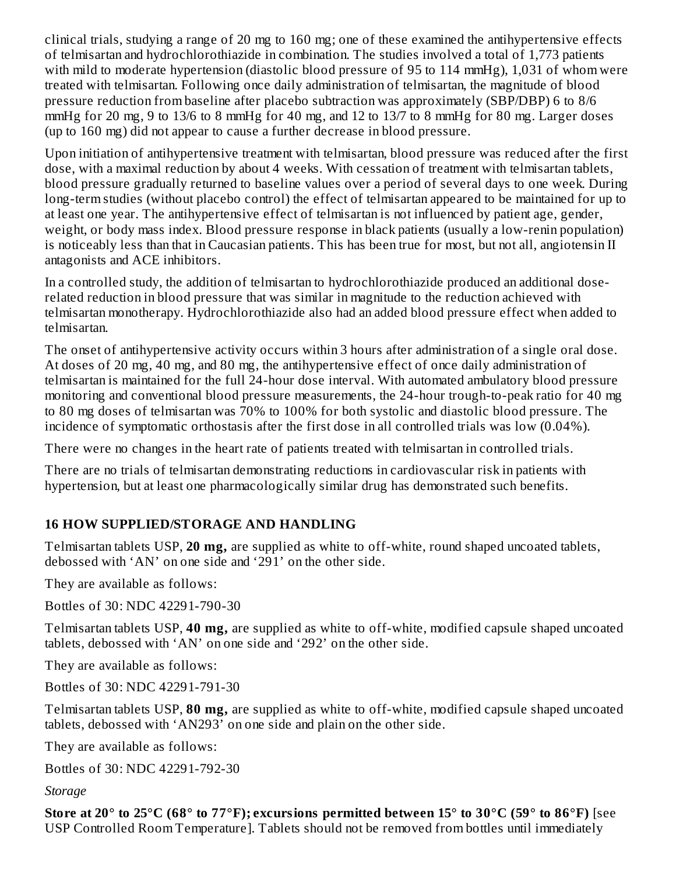clinical trials, studying a range of 20 mg to 160 mg; one of these examined the antihypertensive effects of telmisartan and hydrochlorothiazide in combination. The studies involved a total of 1,773 patients with mild to moderate hypertension (diastolic blood pressure of 95 to 114 mmHg), 1,031 of whom were treated with telmisartan. Following once daily administration of telmisartan, the magnitude of blood pressure reduction from baseline after placebo subtraction was approximately (SBP/DBP) 6 to 8/6 mmHg for 20 mg, 9 to 13/6 to 8 mmHg for 40 mg, and 12 to 13/7 to 8 mmHg for 80 mg. Larger doses (up to 160 mg) did not appear to cause a further decrease in blood pressure.

Upon initiation of antihypertensive treatment with telmisartan, blood pressure was reduced after the first dose, with a maximal reduction by about 4 weeks. With cessation of treatment with telmisartan tablets, blood pressure gradually returned to baseline values over a period of several days to one week. During long-term studies (without placebo control) the effect of telmisartan appeared to be maintained for up to at least one year. The antihypertensive effect of telmisartan is not influenced by patient age, gender, weight, or body mass index. Blood pressure response in black patients (usually a low-renin population) is noticeably less than that in Caucasian patients. This has been true for most, but not all, angiotensin II antagonists and ACE inhibitors.

In a controlled study, the addition of telmisartan to hydrochlorothiazide produced an additional doserelated reduction in blood pressure that was similar in magnitude to the reduction achieved with telmisartan monotherapy. Hydrochlorothiazide also had an added blood pressure effect when added to telmisartan.

The onset of antihypertensive activity occurs within 3 hours after administration of a single oral dose. At doses of 20 mg, 40 mg, and 80 mg, the antihypertensive effect of once daily administration of telmisartan is maintained for the full 24-hour dose interval. With automated ambulatory blood pressure monitoring and conventional blood pressure measurements, the 24-hour trough-to-peak ratio for 40 mg to 80 mg doses of telmisartan was 70% to 100% for both systolic and diastolic blood pressure. The incidence of symptomatic orthostasis after the first dose in all controlled trials was low (0.04%).

There were no changes in the heart rate of patients treated with telmisartan in controlled trials.

There are no trials of telmisartan demonstrating reductions in cardiovascular risk in patients with hypertension, but at least one pharmacologically similar drug has demonstrated such benefits.

#### **16 HOW SUPPLIED/STORAGE AND HANDLING**

Telmisartan tablets USP, **20 mg,** are supplied as white to off-white, round shaped uncoated tablets, debossed with 'AN' on one side and '291' on the other side.

They are available as follows:

Bottles of 30: NDC 42291-790-30

Telmisartan tablets USP, **40 mg,** are supplied as white to off-white, modified capsule shaped uncoated tablets, debossed with 'AN' on one side and '292' on the other side.

They are available as follows:

Bottles of 30: NDC 42291-791-30

Telmisartan tablets USP, **80 mg,** are supplied as white to off-white, modified capsule shaped uncoated tablets, debossed with 'AN293' on one side and plain on the other side.

They are available as follows:

Bottles of 30: NDC 42291-792-30

*Storage*

**Store at 20° to 25°C (68° to 77°F); excursions permitted between 15° to 30°C (59° to 86°F)** [see USP Controlled Room Temperature]. Tablets should not be removed from bottles until immediately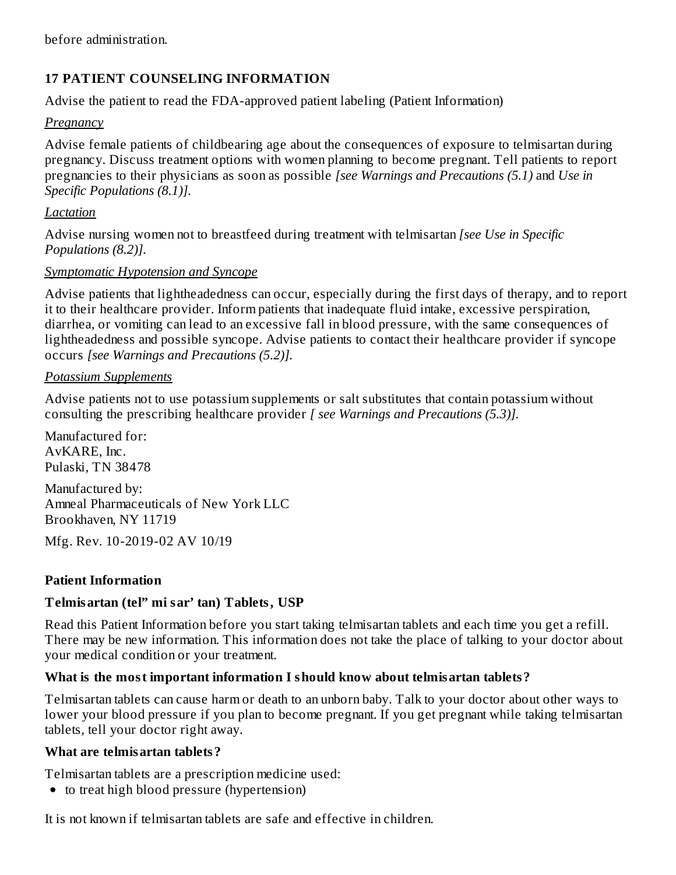## **17 PATIENT COUNSELING INFORMATION**

Advise the patient to read the FDA-approved patient labeling (Patient Information)

#### *Pregnancy*

Advise female patients of childbearing age about the consequences of exposure to telmisartan during pregnancy. Discuss treatment options with women planning to become pregnant. Tell patients to report pregnancies to their physicians as soon as possible *[see Warnings and Precautions (5.1)* and *Use in Specific Populations (8.1)].*

#### *Lactation*

Advise nursing women not to breastfeed during treatment with telmisartan *[see Use in Specific Populations (8.2)].*

#### *Symptomatic Hypotension and Syncope*

Advise patients that lightheadedness can occur, especially during the first days of therapy, and to report it to their healthcare provider. Inform patients that inadequate fluid intake, excessive perspiration, diarrhea, or vomiting can lead to an excessive fall in blood pressure, with the same consequences of lightheadedness and possible syncope. Advise patients to contact their healthcare provider if syncope occurs *[see Warnings and Precautions (5.2)].*

#### *Potassium Supplements*

Advise patients not to use potassium supplements or salt substitutes that contain potassium without consulting the prescribing healthcare provider *[ see Warnings and Precautions (5.3)].*

Manufactured for: AvKARE, Inc. Pulaski, TN 38478

Manufactured by: Amneal Pharmaceuticals of New York LLC Brookhaven, NY 11719

Mfg. Rev. 10-2019-02 AV 10/19

## **Patient Information**

## **Telmisartan (tel" mi sar' tan) Tablets, USP**

Read this Patient Information before you start taking telmisartan tablets and each time you get a refill. There may be new information. This information does not take the place of talking to your doctor about your medical condition or your treatment.

## **What is the most important information I should know about telmisartan tablets?**

Telmisartan tablets can cause harm or death to an unborn baby. Talk to your doctor about other ways to lower your blood pressure if you plan to become pregnant. If you get pregnant while taking telmisartan tablets, tell your doctor right away.

## **What are telmisartan tablets?**

Telmisartan tablets are a prescription medicine used:

• to treat high blood pressure (hypertension)

It is not known if telmisartan tablets are safe and effective in children.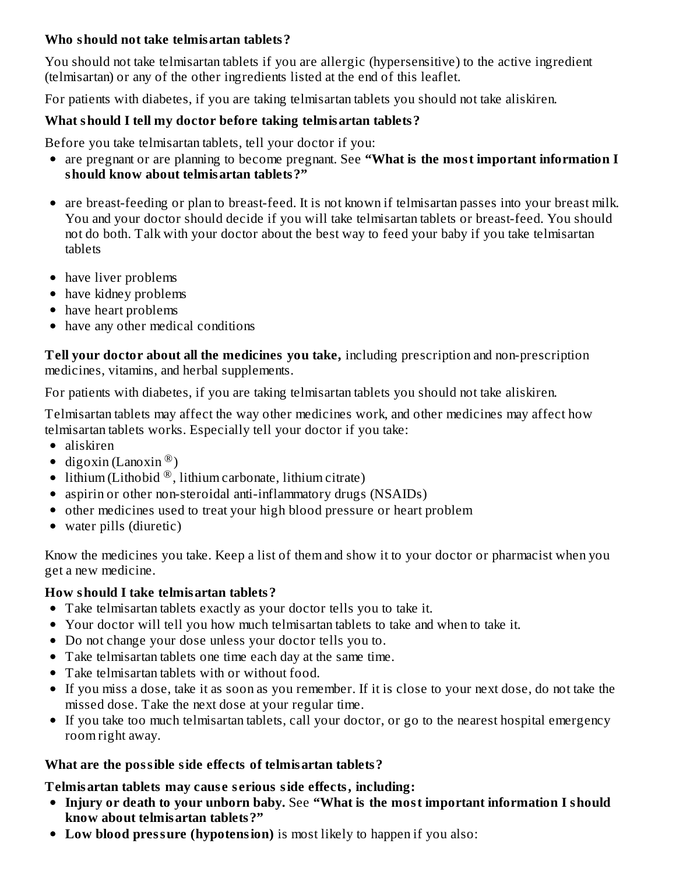#### **Who should not take telmisartan tablets?**

You should not take telmisartan tablets if you are allergic (hypersensitive) to the active ingredient (telmisartan) or any of the other ingredients listed at the end of this leaflet.

For patients with diabetes, if you are taking telmisartan tablets you should not take aliskiren.

#### **What should I tell my doctor before taking telmisartan tablets?**

Before you take telmisartan tablets, tell your doctor if you:

- are pregnant or are planning to become pregnant. See **"What is the most important information I should know about telmisartan tablets?"**
- are breast-feeding or plan to breast-feed. It is not known if telmisartan passes into your breast milk. You and your doctor should decide if you will take telmisartan tablets or breast-feed. You should not do both. Talk with your doctor about the best way to feed your baby if you take telmisartan tablets
- have liver problems
- have kidney problems
- have heart problems
- have any other medical conditions

**Tell your doctor about all the medicines you take,** including prescription and non-prescription medicines, vitamins, and herbal supplements.

For patients with diabetes, if you are taking telmisartan tablets you should not take aliskiren.

Telmisartan tablets may affect the way other medicines work, and other medicines may affect how telmisartan tablets works. Especially tell your doctor if you take:

- aliskiren
- digoxin (Lanoxin ®)
- lithium (Lithobid  $^{\circledR}$ , lithium carbonate, lithium citrate)
- aspirin or other non-steroidal anti-inflammatory drugs (NSAIDs)
- other medicines used to treat your high blood pressure or heart problem
- water pills (diuretic)

Know the medicines you take. Keep a list of them and show it to your doctor or pharmacist when you get a new medicine.

## **How should I take telmisartan tablets?**

- Take telmisartan tablets exactly as your doctor tells you to take it.
- Your doctor will tell you how much telmisartan tablets to take and when to take it.
- Do not change your dose unless your doctor tells you to.
- Take telmisartan tablets one time each day at the same time.
- Take telmisartan tablets with or without food.
- If you miss a dose, take it as soon as you remember. If it is close to your next dose, do not take the missed dose. Take the next dose at your regular time.
- If you take too much telmisartan tablets, call your doctor, or go to the nearest hospital emergency room right away.

## **What are the possible side effects of telmisartan tablets?**

**Telmisartan tablets may caus e s erious side effects, including:**

- **Injury or death to your unborn baby.** See **"What is the most important information I should know about telmisartan tablets?"**
- **Low blood pressure (hypotension)** is most likely to happen if you also: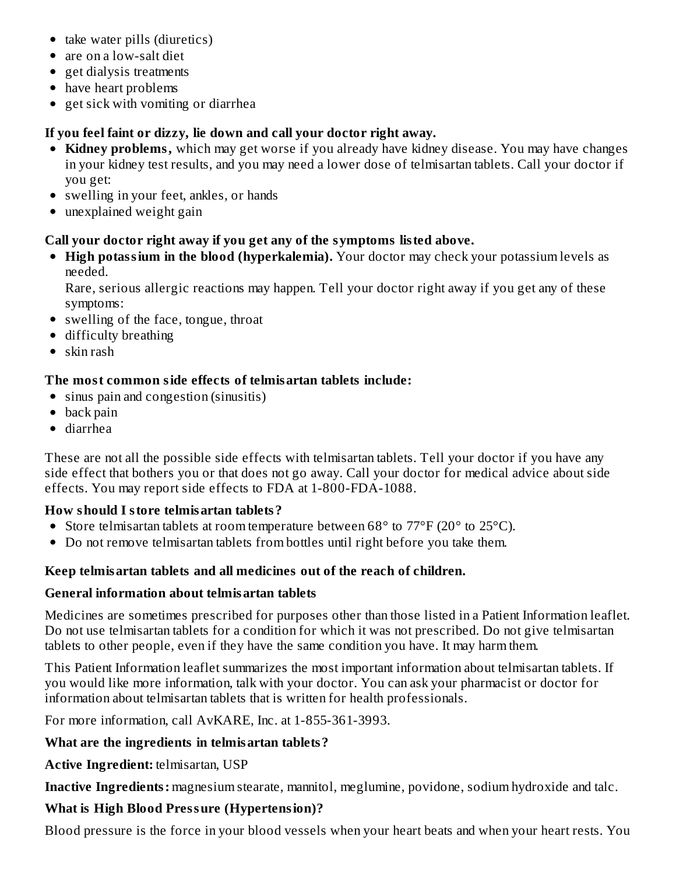- take water pills (diuretics)
- are on a low-salt diet
- get dialysis treatments
- have heart problems
- get sick with vomiting or diarrhea

## **If you feel faint or dizzy, lie down and call your doctor right away.**

- **Kidney problems,** which may get worse if you already have kidney disease. You may have changes in your kidney test results, and you may need a lower dose of telmisartan tablets. Call your doctor if you get:
- swelling in your feet, ankles, or hands
- unexplained weight gain

# **Call your doctor right away if you get any of the symptoms listed above.**

**High potassium in the blood (hyperkalemia).** Your doctor may check your potassium levels as needed.

Rare, serious allergic reactions may happen. Tell your doctor right away if you get any of these symptoms:

- swelling of the face, tongue, throat
- difficulty breathing
- $\bullet$  skin rash

# **The most common side effects of telmisartan tablets include:**

- sinus pain and congestion (sinusitis)
- back pain
- diarrhea

These are not all the possible side effects with telmisartan tablets. Tell your doctor if you have any side effect that bothers you or that does not go away. Call your doctor for medical advice about side effects. You may report side effects to FDA at 1-800-FDA-1088.

# **How should I store telmisartan tablets?**

- Store telmisartan tablets at room temperature between 68° to 77°F (20° to 25°C).
- Do not remove telmisartan tablets from bottles until right before you take them.

# **Keep telmisartan tablets and all medicines out of the reach of children.**

# **General information about telmisartan tablets**

Medicines are sometimes prescribed for purposes other than those listed in a Patient Information leaflet. Do not use telmisartan tablets for a condition for which it was not prescribed. Do not give telmisartan tablets to other people, even if they have the same condition you have. It may harm them.

This Patient Information leaflet summarizes the most important information about telmisartan tablets. If you would like more information, talk with your doctor. You can ask your pharmacist or doctor for information about telmisartan tablets that is written for health professionals.

For more information, call AvKARE, Inc. at 1-855-361-3993.

# **What are the ingredients in telmisartan tablets?**

**Active Ingredient:** telmisartan, USP

**Inactive Ingredients:** magnesium stearate, mannitol, meglumine, povidone, sodium hydroxide and talc.

# **What is High Blood Pressure (Hypertension)?**

Blood pressure is the force in your blood vessels when your heart beats and when your heart rests. You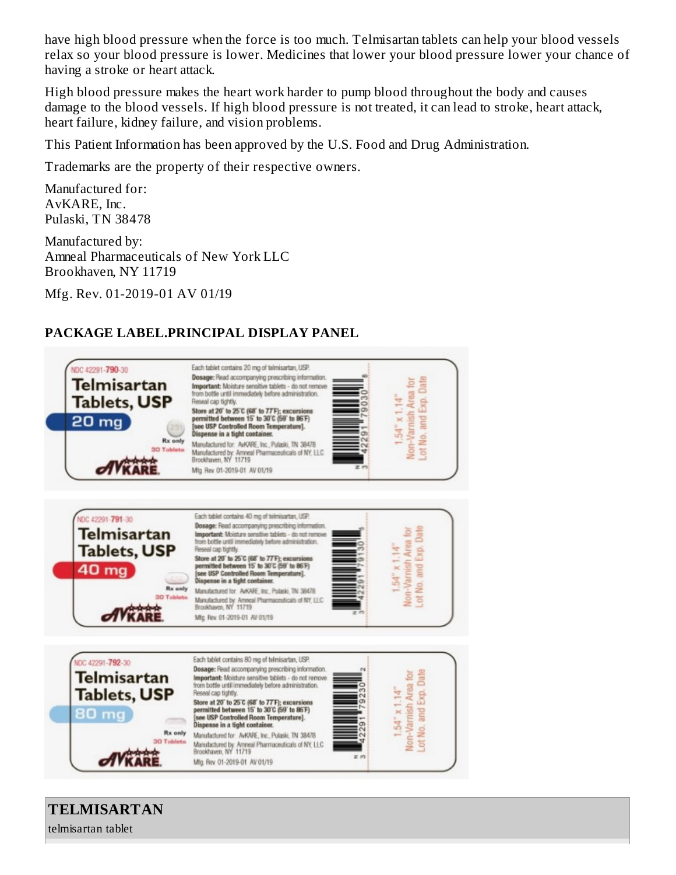have high blood pressure when the force is too much. Telmisartan tablets can help your blood vessels relax so your blood pressure is lower. Medicines that lower your blood pressure lower your chance of having a stroke or heart attack.

High blood pressure makes the heart work harder to pump blood throughout the body and causes damage to the blood vessels. If high blood pressure is not treated, it can lead to stroke, heart attack, heart failure, kidney failure, and vision problems.

This Patient Information has been approved by the U.S. Food and Drug Administration.

Trademarks are the property of their respective owners.

Manufactured for: AvKARE, Inc. Pulaski, TN 38478

Manufactured by: Amneal Pharmaceuticals of New York LLC Brookhaven, NY 11719

Mfg. Rev. 01-2019-01 AV 01/19

#### **PACKAGE LABEL.PRINCIPAL DISPLAY PANEL**



#### **TELMISARTAN** telmisartan tablet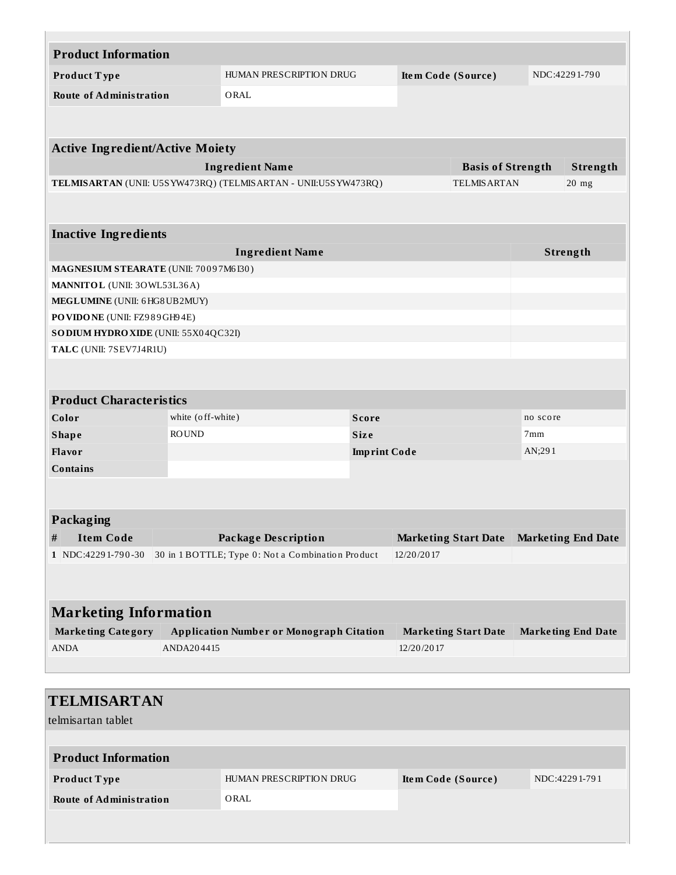| <b>Product Information</b>                                       |                   |                                                                |                     |            |                             |          |                           |  |
|------------------------------------------------------------------|-------------------|----------------------------------------------------------------|---------------------|------------|-----------------------------|----------|---------------------------|--|
| Product Type                                                     |                   | HUMAN PRESCRIPTION DRUG                                        |                     |            | Item Code (Source)          |          | NDC:42291-790             |  |
| <b>Route of Administration</b>                                   |                   | ORAL                                                           |                     |            |                             |          |                           |  |
|                                                                  |                   |                                                                |                     |            |                             |          |                           |  |
|                                                                  |                   |                                                                |                     |            |                             |          |                           |  |
| <b>Active Ingredient/Active Moiety</b>                           |                   |                                                                |                     |            |                             |          |                           |  |
|                                                                  |                   | <b>Ingredient Name</b>                                         |                     |            | <b>Basis of Strength</b>    |          | Strength                  |  |
|                                                                  |                   | TELMISARTAN (UNII: U5SYW473RQ) (TELMISARTAN - UNII:U5SYW473RQ) |                     |            | <b>TELMISARTAN</b>          | $20$ mg  |                           |  |
|                                                                  |                   |                                                                |                     |            |                             |          |                           |  |
|                                                                  |                   |                                                                |                     |            |                             |          |                           |  |
| <b>Inactive Ingredients</b>                                      |                   |                                                                |                     |            |                             |          |                           |  |
|                                                                  |                   | <b>Ingredient Name</b>                                         |                     |            |                             |          | Strength                  |  |
| MAGNESIUM STEARATE (UNII: 70097M6I30)                            |                   |                                                                |                     |            |                             |          |                           |  |
| MANNITOL (UNII: 30WL53L36A)                                      |                   |                                                                |                     |            |                             |          |                           |  |
| MEGLUMINE (UNII: 6 HG8 UB2MUY)                                   |                   |                                                                |                     |            |                             |          |                           |  |
| PO VIDO NE (UNII: FZ989GH94E)                                    |                   |                                                                |                     |            |                             |          |                           |  |
| SO DIUM HYDRO XIDE (UNII: 55X04QC32I)<br>TALC (UNII: 7SEV7J4R1U) |                   |                                                                |                     |            |                             |          |                           |  |
|                                                                  |                   |                                                                |                     |            |                             |          |                           |  |
|                                                                  |                   |                                                                |                     |            |                             |          |                           |  |
| <b>Product Characteristics</b>                                   |                   |                                                                |                     |            |                             |          |                           |  |
| Color                                                            | white (off-white) |                                                                | <b>Score</b>        |            |                             | no score |                           |  |
| <b>Shape</b>                                                     | <b>ROUND</b>      |                                                                | Size                |            |                             | 7mm      |                           |  |
| Flavor                                                           |                   |                                                                | <b>Imprint Code</b> |            |                             | AN;291   |                           |  |
| <b>Contains</b>                                                  |                   |                                                                |                     |            |                             |          |                           |  |
|                                                                  |                   |                                                                |                     |            |                             |          |                           |  |
|                                                                  |                   |                                                                |                     |            |                             |          |                           |  |
| Packaging                                                        |                   |                                                                |                     |            |                             |          |                           |  |
| $\#$<br><b>Item Code</b>                                         |                   | <b>Package Description</b>                                     |                     |            | <b>Marketing Start Date</b> |          | <b>Marketing End Date</b> |  |
| 1 NDC:42291-790-30                                               |                   | 30 in 1 BOTTLE; Type 0: Not a Combination Product              |                     | 12/20/2017 |                             |          |                           |  |
|                                                                  |                   |                                                                |                     |            |                             |          |                           |  |
|                                                                  |                   |                                                                |                     |            |                             |          |                           |  |
| <b>Marketing Information</b>                                     |                   |                                                                |                     |            |                             |          |                           |  |
| <b>Marketing Category</b>                                        |                   | <b>Application Number or Monograph Citation</b>                |                     |            | <b>Marketing Start Date</b> |          | <b>Marketing End Date</b> |  |
| <b>ANDA</b>                                                      | ANDA204415        |                                                                |                     | 12/20/2017 |                             |          |                           |  |
|                                                                  |                   |                                                                |                     |            |                             |          |                           |  |
|                                                                  |                   |                                                                |                     |            |                             |          |                           |  |
| <b>TELMISARTAN</b>                                               |                   |                                                                |                     |            |                             |          |                           |  |
| telmisartan tablet                                               |                   |                                                                |                     |            |                             |          |                           |  |
|                                                                  |                   |                                                                |                     |            |                             |          |                           |  |
| <b>Product Information</b>                                       |                   |                                                                |                     |            |                             |          |                           |  |
|                                                                  |                   | HUMAN PRESCRIPTION DRUG                                        |                     |            |                             |          | NDC:42291-791             |  |
| Product Type                                                     |                   |                                                                |                     |            | Item Code (Source)          |          |                           |  |
| <b>Route of Administration</b>                                   |                   | ORAL                                                           |                     |            |                             |          |                           |  |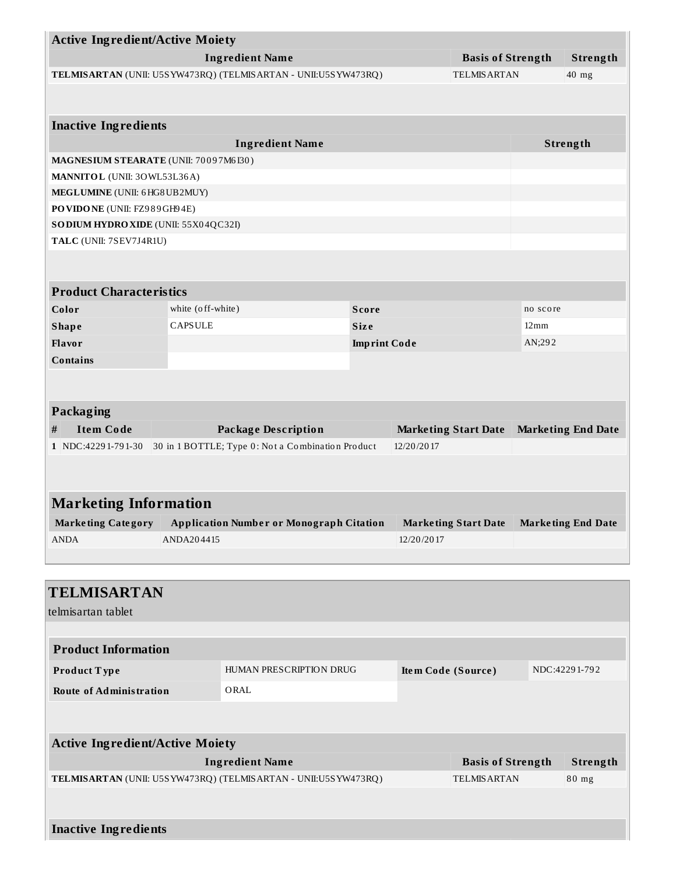| <b>Active Ingredient/Active Moiety</b>                                               |                   |                                                                                                     |                     |                    |                             |                |                           |  |
|--------------------------------------------------------------------------------------|-------------------|-----------------------------------------------------------------------------------------------------|---------------------|--------------------|-----------------------------|----------------|---------------------------|--|
| <b>Ingredient Name</b><br><b>Basis of Strength</b>                                   |                   |                                                                                                     |                     |                    |                             |                | Strength                  |  |
| TELMISARTAN (UNII: U5SYW473RQ) (TELMISARTAN - UNII:U5SYW473RQ)<br><b>TELMISARTAN</b> |                   |                                                                                                     |                     |                    | $40$ mg                     |                |                           |  |
|                                                                                      |                   |                                                                                                     |                     |                    |                             |                |                           |  |
|                                                                                      |                   |                                                                                                     |                     |                    |                             |                |                           |  |
| <b>Inactive Ingredients</b>                                                          |                   |                                                                                                     |                     |                    |                             |                |                           |  |
|                                                                                      |                   | <b>Ingredient Name</b>                                                                              |                     |                    |                             |                | Strength                  |  |
| MAGNESIUM STEARATE (UNII: 70097M6I30)                                                |                   |                                                                                                     |                     |                    |                             |                |                           |  |
| MANNITOL (UNII: 30WL53L36A)                                                          |                   |                                                                                                     |                     |                    |                             |                |                           |  |
| MEGLUMINE (UNII: 6 HG8 UB2MUY)                                                       |                   |                                                                                                     |                     |                    |                             |                |                           |  |
| PO VIDO NE (UNII: FZ989GH94E)                                                        |                   |                                                                                                     |                     |                    |                             |                |                           |  |
| SO DIUM HYDRO XIDE (UNII: 55X04QC32I)                                                |                   |                                                                                                     |                     |                    |                             |                |                           |  |
| TALC (UNII: 7SEV7J4R1U)                                                              |                   |                                                                                                     |                     |                    |                             |                |                           |  |
|                                                                                      |                   |                                                                                                     |                     |                    |                             |                |                           |  |
| <b>Product Characteristics</b>                                                       |                   |                                                                                                     |                     |                    |                             |                |                           |  |
| Color                                                                                | white (off-white) |                                                                                                     | <b>Score</b>        |                    |                             | no score       |                           |  |
| <b>Shape</b>                                                                         | <b>CAPSULE</b>    |                                                                                                     | <b>Size</b>         |                    |                             | $12 \text{mm}$ |                           |  |
| Flavor                                                                               |                   |                                                                                                     | <b>Imprint Code</b> |                    |                             | AN;292         |                           |  |
| <b>Contains</b>                                                                      |                   |                                                                                                     |                     |                    |                             |                |                           |  |
|                                                                                      |                   |                                                                                                     |                     |                    |                             |                |                           |  |
|                                                                                      |                   |                                                                                                     |                     |                    |                             |                |                           |  |
| Packaging                                                                            |                   |                                                                                                     |                     |                    |                             |                |                           |  |
| <b>Item Code</b><br>#                                                                |                   | <b>Package Description</b>                                                                          |                     |                    | <b>Marketing Start Date</b> |                | <b>Marketing End Date</b> |  |
| 1 NDC:42291-791-30                                                                   |                   | 30 in 1 BOTTLE; Type 0: Not a Combination Product                                                   |                     | 12/20/2017         |                             |                |                           |  |
|                                                                                      |                   |                                                                                                     |                     |                    |                             |                |                           |  |
|                                                                                      |                   |                                                                                                     |                     |                    |                             |                |                           |  |
| <b>Marketing Information</b>                                                         |                   |                                                                                                     |                     |                    |                             |                |                           |  |
|                                                                                      |                   | Marketing Category Application Number or Monograph Citation Marketing Start Date Marketing End Date |                     |                    |                             |                |                           |  |
| <b>ANDA</b>                                                                          | ANDA204415        |                                                                                                     |                     | 12/20/2017         |                             |                |                           |  |
|                                                                                      |                   |                                                                                                     |                     |                    |                             |                |                           |  |
|                                                                                      |                   |                                                                                                     |                     |                    |                             |                |                           |  |
| <b>TELMISARTAN</b>                                                                   |                   |                                                                                                     |                     |                    |                             |                |                           |  |
|                                                                                      |                   |                                                                                                     |                     |                    |                             |                |                           |  |
| telmisartan tablet                                                                   |                   |                                                                                                     |                     |                    |                             |                |                           |  |
|                                                                                      |                   |                                                                                                     |                     |                    |                             |                |                           |  |
| <b>Product Information</b>                                                           |                   |                                                                                                     |                     |                    |                             |                |                           |  |
| Product Type                                                                         |                   | HUMAN PRESCRIPTION DRUG                                                                             |                     | Item Code (Source) |                             |                | NDC:42291-792             |  |
| <b>Route of Administration</b>                                                       |                   | ORAL                                                                                                |                     |                    |                             |                |                           |  |
|                                                                                      |                   |                                                                                                     |                     |                    |                             |                |                           |  |
|                                                                                      |                   |                                                                                                     |                     |                    |                             |                |                           |  |
| <b>Active Ingredient/Active Moiety</b>                                               |                   |                                                                                                     |                     |                    |                             |                |                           |  |
| <b>Ingredient Name</b><br><b>Basis of Strength</b><br>Strength                       |                   |                                                                                                     |                     |                    |                             |                |                           |  |
|                                                                                      |                   | TELMISARTAN (UNII: U5SYW473RQ) (TELMISARTAN - UNII:U5SYW473RQ)                                      |                     |                    | <b>TELMISARTAN</b>          |                | 80 mg                     |  |
|                                                                                      |                   |                                                                                                     |                     |                    |                             |                |                           |  |
|                                                                                      |                   |                                                                                                     |                     |                    |                             |                |                           |  |
| <b>Inactive Ingredients</b>                                                          |                   |                                                                                                     |                     |                    |                             |                |                           |  |